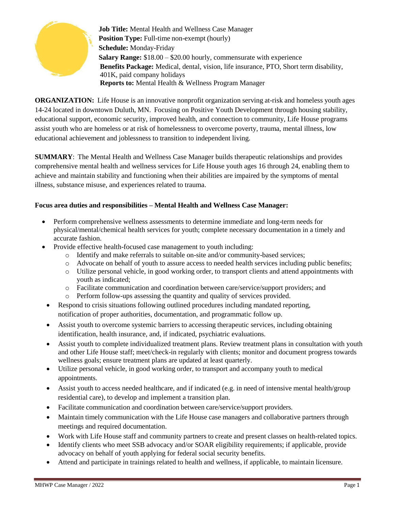

**Job Title:** Mental Health and Wellness Case Manager **Position Type:** Full-time non-exempt (hourly) **Schedule:** Monday-Friday **Salary Range:** \$18.00 – \$20.00 hourly, commensurate with experience **Benefits Package:** Medical, dental, vision, life insurance, PTO, Short term disability, 401K, paid company holidays **Reports to:** Mental Health & Wellness Program Manager

**ORGANIZATION:** Life House is an innovative nonprofit organization serving at-risk and homeless youth ages 14-24 located in downtown Duluth, MN. Focusing on Positive Youth Development through housing stability, educational support, economic security, improved health, and connection to community, Life House programs assist youth who are homeless or at risk of homelessness to overcome poverty, trauma, mental illness, low educational achievement and joblessness to transition to independent living.

**SUMMARY**: The Mental Health and Wellness Case Manager builds therapeutic relationships and provides comprehensive mental health and wellness services for Life House youth ages 16 through 24, enabling them to achieve and maintain stability and functioning when their abilities are impaired by the symptoms of mental illness, substance misuse, and experiences related to trauma.

## **Focus area duties and responsibilities – Mental Health and Wellness Case Manager:**

- Perform comprehensive wellness assessments to determine immediate and long-term needs for physical/mental/chemical health services for youth; complete necessary documentation in a timely and accurate fashion.
- Provide effective health-focused case management to youth including:
	- o Identify and make referrals to suitable on-site and/or community-based services;
	- o Advocate on behalf of youth to assure access to needed health services including public benefits;
	- o Utilize personal vehicle, in good working order, to transport clients and attend appointments with youth as indicated;
	- o Facilitate communication and coordination between care/service/support providers; and
	- o Perform follow-ups assessing the quantity and quality of services provided.
	- Respond to crisis situations following outlined procedures including mandated reporting, notification of proper authorities, documentation, and programmatic follow up.
	- Assist youth to overcome systemic barriers to accessing therapeutic services, including obtaining identification, health insurance, and, if indicated, psychiatric evaluations.
	- Assist youth to complete individualized treatment plans. Review treatment plans in consultation with youth and other Life House staff; meet/check-in regularly with clients; monitor and document progress towards wellness goals; ensure treatment plans are updated at least quarterly.
	- Utilize personal vehicle, in good working order, to transport and accompany youth to medical appointments.
	- Assist youth to access needed healthcare, and if indicated (e.g. in need of intensive mental health/group residential care), to develop and implement a transition plan.
	- Facilitate communication and coordination between care/service/support providers.
	- Maintain timely communication with the Life House case managers and collaborative partners through meetings and required documentation.
	- Work with Life House staff and community partners to create and present classes on health-related topics.
	- Identify clients who meet SSB advocacy and/or SOAR eligibility requirements; if applicable, provide advocacy on behalf of youth applying for federal social security benefits.
	- Attend and participate in trainings related to health and wellness, if applicable, to maintain licensure.